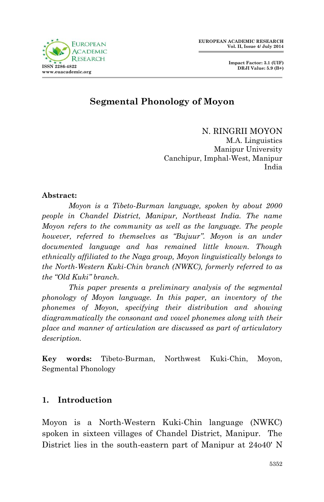

# **Segmental Phonology of Moyon**

N. RINGRII MOYON M.A. Linguistics Manipur University Canchipur, Imphal-West, Manipur India

#### **Abstract:**

*Moyon is a Tibeto-Burman language, spoken by about 2000 people in Chandel District, Manipur, Northeast India. The name Moyon refers to the community as well as the language. The people however, referred to themselves as "Bujuur". Moyon is an under documented language and has remained little known. Though ethnically affiliated to the Naga group, Moyon linguistically belongs to the North-Western Kuki-Chin branch (NWKC), formerly referred to as the "Old Kuki" branch.* 

*This paper presents a preliminary analysis of the segmental phonology of Moyon language. In this paper, an inventory of the phonemes of Moyon, specifying their distribution and showing diagrammatically the consonant and vowel phonemes along with their place and manner of articulation are discussed as part of articulatory description.* 

**Key words:** Tibeto-Burman, Northwest Kuki-Chin, Moyon, Segmental Phonology

### **1. Introduction**

Moyon is a North-Western Kuki-Chin language (NWKC) spoken in sixteen villages of Chandel District, Manipur. The District lies in the south-eastern part of Manipur at 24o40' N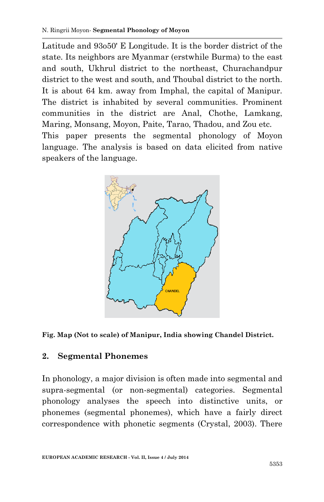Latitude and 93o50' E Longitude. It is the border district of the state. Its neighbors are Myanmar (erstwhile Burma) to the east and south, Ukhrul district to the northeast, Churachandpur district to the west and south, and Thoubal district to the north. It is about 64 km. away from Imphal, the capital of Manipur. The district is inhabited by several communities. Prominent communities in the district are Anal, Chothe, Lamkang, Maring, Monsang, Moyon, Paite, Tarao, Thadou, and Zou etc. This paper presents the segmental phonology of Moyon language. The analysis is based on data elicited from native speakers of the language.





# **2. Segmental Phonemes**

In phonology, a major division is often made into segmental and supra-segmental (or non-segmental) categories. Segmental phonology analyses the speech into distinctive units, or phonemes (segmental phonemes), which have a fairly direct correspondence with phonetic segments (Crystal, 2003). There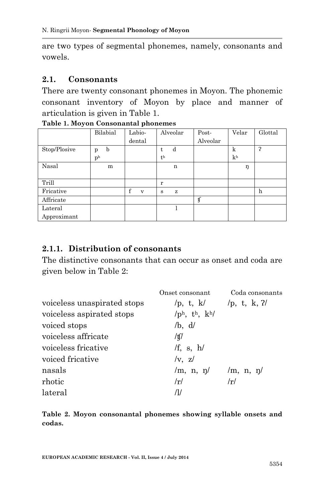are two types of segmental phonemes, namely, consonants and vowels.

#### **2.1. Consonants**

There are twenty consonant phonemes in Moyon. The phonemic consonant inventory of Moyon by place and manner of articulation is given in Table 1.

|              | Bilabial       | Labio- | Alveolar       | Post-    | Velar          | Glottal |
|--------------|----------------|--------|----------------|----------|----------------|---------|
|              |                | dental |                | Alveolar |                |         |
| Stop/Plosive | b<br>p         |        | d<br>t         |          | k              | ר       |
|              | p <sub>h</sub> |        | t <sub>h</sub> |          | k <sub>h</sub> |         |
| Nasal        | m              |        | n              |          | ŋ              |         |
|              |                |        |                |          |                |         |
| Trill        |                |        | r              |          |                |         |
| Fricative    |                | f<br>V | z<br>s         |          |                | h       |
| Affricate    |                |        |                | IJ       |                |         |
| Lateral      |                |        |                |          |                |         |
| Approximant  |                |        |                |          |                |         |

**Table 1. Moyon Consonantal phonemes**

#### **2.1.1. Distribution of consonants**

The distinctive consonants that can occur as onset and coda are given below in Table 2:

|                             | Onset consonant                             | Coda consonants |
|-----------------------------|---------------------------------------------|-----------------|
| voiceless unaspirated stops | /p, t, $k/$                                 | /p, t, k, $2/$  |
| voiceless aspirated stops   | / $p^h$ , t <sup>h</sup> , k <sup>h</sup> / |                 |
| voiced stops                | /b, d/                                      |                 |
| voiceless affricate         | /tʃ/                                        |                 |
| voiceless fricative         | /f, s, $h$ /                                |                 |
| voiced fricative            | $\sqrt{v}$ , z $\sqrt{v}$                   |                 |
| nasals                      | $\rm{m, n, \eta/}$                          | $/m$ , n, n     |
| rhotic                      | r                                           | r               |
| lateral                     | ЛΙ                                          |                 |

**Table 2. Moyon consonantal phonemes showing syllable onsets and codas.**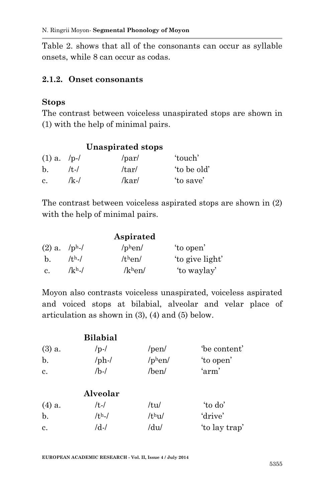Table 2. shows that all of the consonants can occur as syllable onsets, while 8 can occur as codas.

#### **2.1.2. Onset consonants**

#### **Stops**

The contrast between voiceless unaspirated stops are shown in (1) with the help of minimal pairs.

| <b>Unaspirated stops</b> |          |       |             |  |
|--------------------------|----------|-------|-------------|--|
| $(1)$ a. /p-/            |          | /par/ | 'touch'     |  |
| $\mathbf{b}$ .           | $/t - l$ | /tar/ | 'to be old' |  |
| c.                       | $/k-1$   | /kar/ | 'to save'   |  |

The contrast between voiceless aspirated stops are shown in (2) with the help of minimal pairs.

|                |               | Aspirated |                 |
|----------------|---------------|-----------|-----------------|
| $(2)$ a. /ph-/ |               | $/$ phen/ | 'to open'       |
| b.             | $/$ th $\sim$ | /then/    | 'to give light' |
| c.             | $/kh$ ./      | $/kh$ en/ | 'to waylay'     |

Moyon also contrasts voiceless unaspirated, voiceless aspirated and voiced stops at bilabial, alveolar and velar place of articulation as shown in (3), (4) and (5) below.

|                | <b>Bilabial</b> |                    |               |
|----------------|-----------------|--------------------|---------------|
| $(3)$ a.       | $/p-1$          | /pen/              | be content'   |
| $b$ .          | $/\text{ph-}$ / | $/$ phen $/$       | 'to open'     |
| $\mathbf{c}$ . | $/b-1$          | /ben/              | 'arm'         |
|                | Alveolar        |                    |               |
| $(4)$ a.       | $/t$ - $/$      | /tu/               | 'to do'       |
| b.             | $/th$ -/        | /t <sup>h</sup> u/ | 'drive'       |
| $\mathbf{c}$ . | $/d$ -/         | /du/               | 'to lay trap' |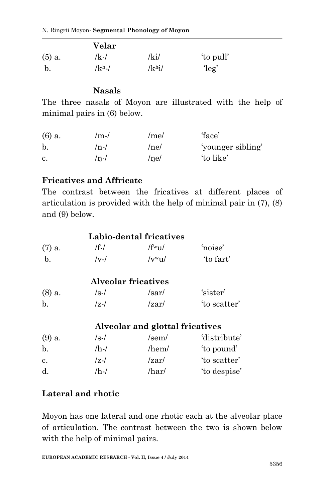|          | Velar    |            |               |
|----------|----------|------------|---------------|
| $(5)$ a. | $/k-1$   | $\sqrt{k}$ | 'to pull'     |
| b.       | $/kh$ -/ | $/kh$ i/   | $\text{leg}'$ |

### **Nasals**

The three nasals of Moyon are illustrated with the help of minimal pairs in (6) below.

| $(6)$ a. | $/m-l$ | /me/ | 'face'            |
|----------|--------|------|-------------------|
| b.       | $/n-1$ | /ne/ | 'younger sibling' |
| c.       | $/n-1$ | /ne/ | 'to like'         |

### **Fricatives and Affricate**

The contrast between the fricatives at different places of articulation is provided with the help of minimal pair in (7), (8) and (9) below.

|             |        | Labio-dental fricatives              |           |
|-------------|--------|--------------------------------------|-----------|
| $(7)$ a.    | /f-/   | $/$ f <sup>w</sup> <sub>11</sub> $/$ | 'noise'   |
| $h_{\cdot}$ | $/v-l$ | $/vw_{11}/$                          | 'to fart' |
|             |        |                                      |           |

|             |        | <b>Alveolar fricatives</b> |              |
|-------------|--------|----------------------------|--------------|
| $(8)$ a.    | $/s-1$ | /sar/                      | 'sister'     |
| $\mathbf b$ | $ z- $ | $\sqrt{z}$                 | 'to scatter' |

### **Alveolar and glottal fricatives**

| $/s-1$ | $/$ sem $/$ | 'distribute' |
|--------|-------------|--------------|
| /h-/   | /hem/       | 'to pound'   |
| $ z- $ | /zar/       | 'to scatter' |
| /h-/   | /har/       | 'to despise' |
|        |             |              |

# **Lateral and rhotic**

Moyon has one lateral and one rhotic each at the alveolar place of articulation. The contrast between the two is shown below with the help of minimal pairs.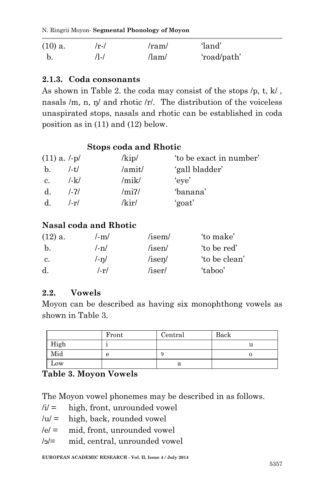N. Ringrii Moyon*-* **Segmental Phonology of Moyon**

| $(10)$ a. | $/r-l$ | /ram/       | 'land'      |
|-----------|--------|-------------|-------------|
|           | /I-/   | $/$ lam $/$ | 'road/path' |

### **2.1.3. Coda consonants**

As shown in Table 2. the coda may consist of the stops /p, t, k/ , nasals /m, n, n/ and rhotic /r/. The distribution of the voiceless unaspirated stops, nasals and rhotic can be established in coda position as in (11) and (12) below.

### **Stops coda and Rhotic**

|             | $(11)$ a. $/-p/$ | $\frac{\mathrm{kip}}{\mathrm{kip}}$ | 'to be exact in number' |
|-------------|------------------|-------------------------------------|-------------------------|
| b.          | $/ -t/$          | /amit/                              | 'gall bladder'          |
| $c_{\cdot}$ | $l-k/$           | /mik/                               | 'eve'                   |
| d.          | $1 - 71$         | /mi                                 | 'banana'                |
| $d_{\cdot}$ | $l-rl$           | /kir/                               | 'goat'                  |

# **Nasal coda and Rhotic**

| $(12)$ a. | /-m/       | /isem/       | 'to make'     |
|-----------|------------|--------------|---------------|
| b.        | $l - n/$   | /isen/       | 'to be red'   |
| C.        | $l - n/$   | $/$ isen $/$ | 'to be clean' |
| d.        | $l$ -r $l$ | /iser/       | 'taboo'       |

### **2.2. Vowels**

Moyon can be described as having six monophthong vowels as shown in Table 3.

|      | Front | Central | Back |
|------|-------|---------|------|
| High |       |         | u    |
| Mid  | е     | э       |      |
| Low  |       | a       |      |

# **Table 3. Moyon Vowels**

The Moyon vowel phonemes may be described in as follows.

- $/i' =$  high, front, unrounded vowel
- $/u =$  high, back, rounded vowel
- $|e|$  = mid, front, unrounded vowel
- /ɘ/= mid, central, unrounded vowel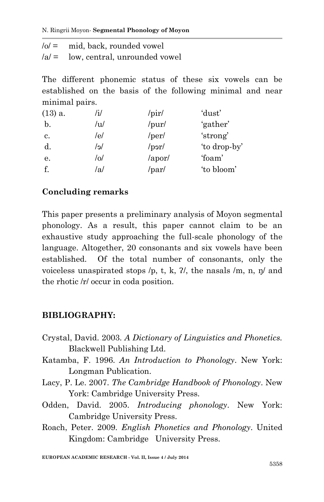N. Ringrii Moyon*-* **Segmental Phonology of Moyon**

| $ 0  =$ | mid, back, rounded vowel              |
|---------|---------------------------------------|
|         | $ a $ = low, central, unrounded vowel |

The different phonemic status of these six vowels can be established on the basis of the following minimal and near minimal pairs.

| $(13)$ a. | /i/ | $\sqrt{pir/}$         | 'dust'       |
|-----------|-----|-----------------------|--------------|
| b.        | /u/ | /pur/                 | 'gather'     |
| c.        | /e/ | /per/                 | 'strong'     |
| d.        | /e/ | per                   | 'to drop-by' |
| е.        | /o/ | $\alpha$ por $\alpha$ | 'foam'       |
| f.        | /a/ | /par/                 | 'to bloom'   |

## **Concluding remarks**

This paper presents a preliminary analysis of Moyon segmental phonology. As a result, this paper cannot claim to be an exhaustive study approaching the full-scale phonology of the language. Altogether, 20 consonants and six vowels have been established. Of the total number of consonants, only the voiceless unaspirated stops  $/p$ , t, k,  $2/$ , the nasals  $/m$ , n,  $p/m$  and the rhotic /r/ occur in coda position.

### **BIBLIOGRAPHY:**

- Crystal, David. 2003. *A Dictionary of Linguistics and Phonetics.* Blackwell Publishing Ltd.
- Katamba, F. 1996. *An Introduction to Phonology*. New York: Longman Publication.
- Lacy, P. Le. 2007. *The Cambridge Handbook of Phonology*. New York: Cambridge University Press.
- Odden, David. 2005. *Introducing phonology*. New York: Cambridge University Press.
- Roach, Peter. 2009. *English Phonetics and Phonology*. United Kingdom: Cambridge University Press.